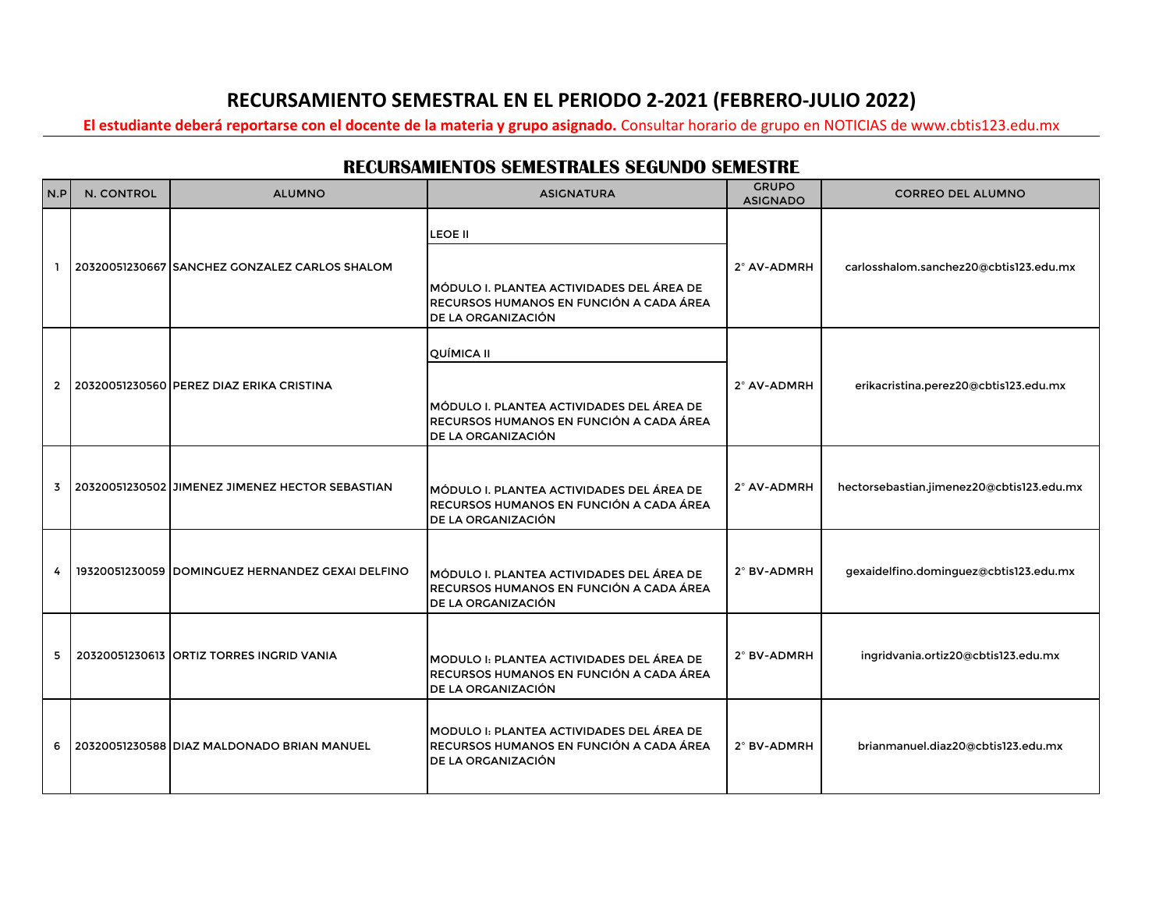## **RECURSAMIENTO SEMESTRAL EN EL PERIODO 2-2021 (FEBRERO-JULIO 2022)**

**El estudiante deberá reportarse con el docente de la materia y grupo asignado.** Consultar horario de grupo en NOTICIAS de www.cbtis123.edu.mx

## **RECURSAMIENTOS SEMESTRALES SEGUNDO SEMESTRE**

| N.P            | N. CONTROL | <b>ALUMNO</b>                                    | <b>ASIGNATURA</b>                                                                                                                | <b>GRUPO</b><br><b>ASIGNADO</b> | <b>CORREO DEL ALUMNO</b>                  |
|----------------|------------|--------------------------------------------------|----------------------------------------------------------------------------------------------------------------------------------|---------------------------------|-------------------------------------------|
| п.             |            | 20320051230667 SANCHEZ GONZALEZ CARLOS SHALOM    | <b>LEOE II</b><br>MÓDULO I. PLANTEA ACTIVIDADES DEL ÁREA DE<br>RECURSOS HUMANOS EN FUNCIÓN A CADA ÁREA<br>DE LA ORGANIZACIÓN     | 2° AV-ADMRH                     | carlosshalom.sanchez20@cbtis123.edu.mx    |
| $\overline{2}$ |            | 20320051230560 PEREZ DIAZ ERIKA CRISTINA         | QUÍMICA II<br><b>IMÓDULO I. PLANTEA ACTIVIDADES DEL ÁREA DE</b><br>RECURSOS HUMANOS EN FUNCIÓN A CADA ÁREA<br>DE LA ORGANIZACIÓN | 2° AV-ADMRH                     | erikacristina.perez20@cbtis123.edu.mx     |
| $\overline{3}$ |            | 20320051230502 JIMENEZ JIMENEZ HECTOR SEBASTIAN  | MÓDULO I. PLANTEA ACTIVIDADES DEL ÁREA DE<br>RECURSOS HUMANOS EN FUNCIÓN A CADA ÁREA<br>DE LA ORGANIZACIÓN                       | 2° AV-ADMRH                     | hectorsebastian.jimenez20@cbtis123.edu.mx |
| 4              |            | 19320051230059 DOMINGUEZ HERNANDEZ GEXAI DELFINO | MÓDULO I. PLANTEA ACTIVIDADES DEL ÁREA DE<br>RECURSOS HUMANOS EN FUNCIÓN A CADA ÁREA<br>DE LA ORGANIZACIÓN                       | 2° BV-ADMRH                     | gexaidelfino.dominguez@cbtis123.edu.mx    |
| 5              |            | 20320051230613 ORTIZ TORRES INGRID VANIA         | MODULO I: PLANTEA ACTIVIDADES DEL ÁREA DE<br>RECURSOS HUMANOS EN FUNCIÓN A CADA ÁREA<br>DE LA ORGANIZACIÓN                       | 2° BV-ADMRH                     | ingridvania.ortiz20@cbtis123.edu.mx       |
| 6              |            | 20320051230588 DIAZ MALDONADO BRIAN MANUEL       | MODULO I: PLANTEA ACTIVIDADES DEL ÁREA DE<br>RECURSOS HUMANOS EN FUNCIÓN A CADA ÁREA<br>DE LA ORGANIZACIÓN                       | 2° BV-ADMRH                     | brianmanuel.diaz20@cbtis123.edu.mx        |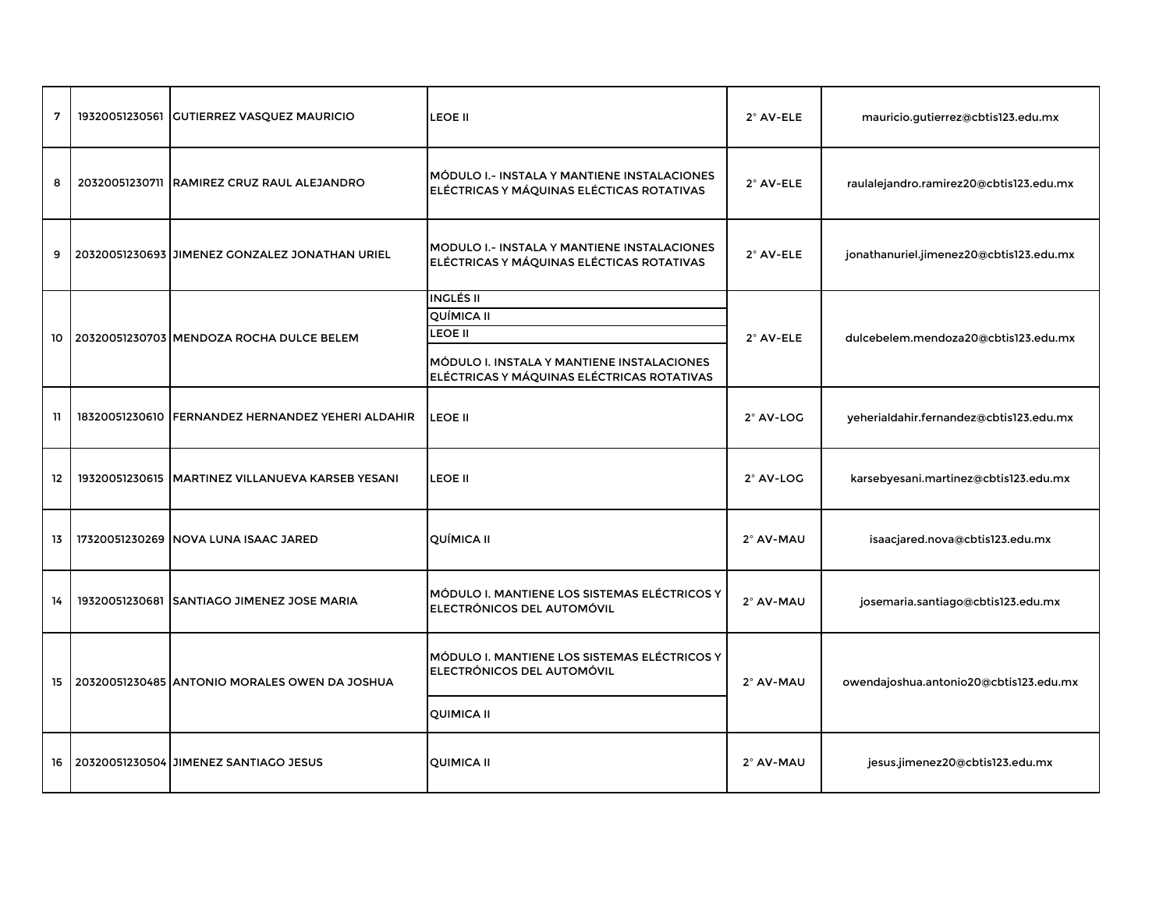| $\overline{7}$ | 19320051230561 GUTIERREZ VASQUEZ MAURICIO         | <b>LEOE II</b>                                                                                                                                      | 2° AV-ELE | mauricio.gutierrez@cbtis123.edu.mx      |
|----------------|---------------------------------------------------|-----------------------------------------------------------------------------------------------------------------------------------------------------|-----------|-----------------------------------------|
| 8              | 20320051230711 RAMIREZ CRUZ RAUL ALEJANDRO        | MÓDULO I.- INSTALA Y MANTIENE INSTALACIONES<br>ELÉCTRICAS Y MÁQUINAS ELÉCTICAS ROTATIVAS                                                            | 2° AV-ELE | raulalejandro.ramirez20@cbtis123.edu.mx |
| 9              | 20320051230693 JIMENEZ GONZALEZ JONATHAN URIEL    | <b>MODULO I.- INSTALA Y MANTIENE INSTALACIONES</b><br>ELÉCTRICAS Y MÁQUINAS ELÉCTICAS ROTATIVAS                                                     | 2° AV-ELE | jonathanuriel.jimenez20@cbtis123.edu.mx |
| 10             | 20320051230703 MENDOZA ROCHA DULCE BELEM          | <b>INGLÉS II</b><br><b>QUÍMICA II</b><br><b>LEOE II</b><br>MÓDULO I. INSTALA Y MANTIENE INSTALACIONES<br>ELÉCTRICAS Y MÁQUINAS ELÉCTRICAS ROTATIVAS | 2° AV-ELE | dulcebelem.mendoza20@cbtis123.edu.mx    |
| 11             | 18320051230610 FERNANDEZ HERNANDEZ YEHERI ALDAHIR | <b>LEOE II</b>                                                                                                                                      | 2° AV-LOG | yeherialdahir.fernandez@cbtis123.edu.mx |
| 12             | 19320051230615 MARTINEZ VILLANUEVA KARSEB YESANI  | <b>LEOE II</b>                                                                                                                                      | 2° AV-LOG | karsebyesani.martinez@cbtis123.edu.mx   |
| 13             | 17320051230269 NOVA LUNA ISAAC JARED              | QUÍMICA II                                                                                                                                          | 2° AV-MAU | isaacjared.nova@cbtis123.edu.mx         |
| 14             | 19320051230681 SANTIAGO JIMENEZ JOSE MARIA        | MÓDULO I. MANTIENE LOS SISTEMAS ELÉCTRICOS Y<br>ELECTRÓNICOS DEL AUTOMÓVIL                                                                          | 2° AV-MAU | josemaria.santiago@cbtis123.edu.mx      |
| 15             | 20320051230485 ANTONIO MORALES OWEN DA JOSHUA     | MÓDULO I. MANTIENE LOS SISTEMAS ELÉCTRICOS Y<br>ELECTRÓNICOS DEL AUTOMÓVIL                                                                          | 2° AV-MAU | owendajoshua.antonio20@cbtis123.edu.mx  |
|                |                                                   | <b>QUIMICA II</b>                                                                                                                                   |           |                                         |
| 16             | 20320051230504 JIMENEZ SANTIAGO JESUS             | <b>QUIMICA II</b>                                                                                                                                   | 2° AV-MAU | jesus.jimenez20@cbtis123.edu.mx         |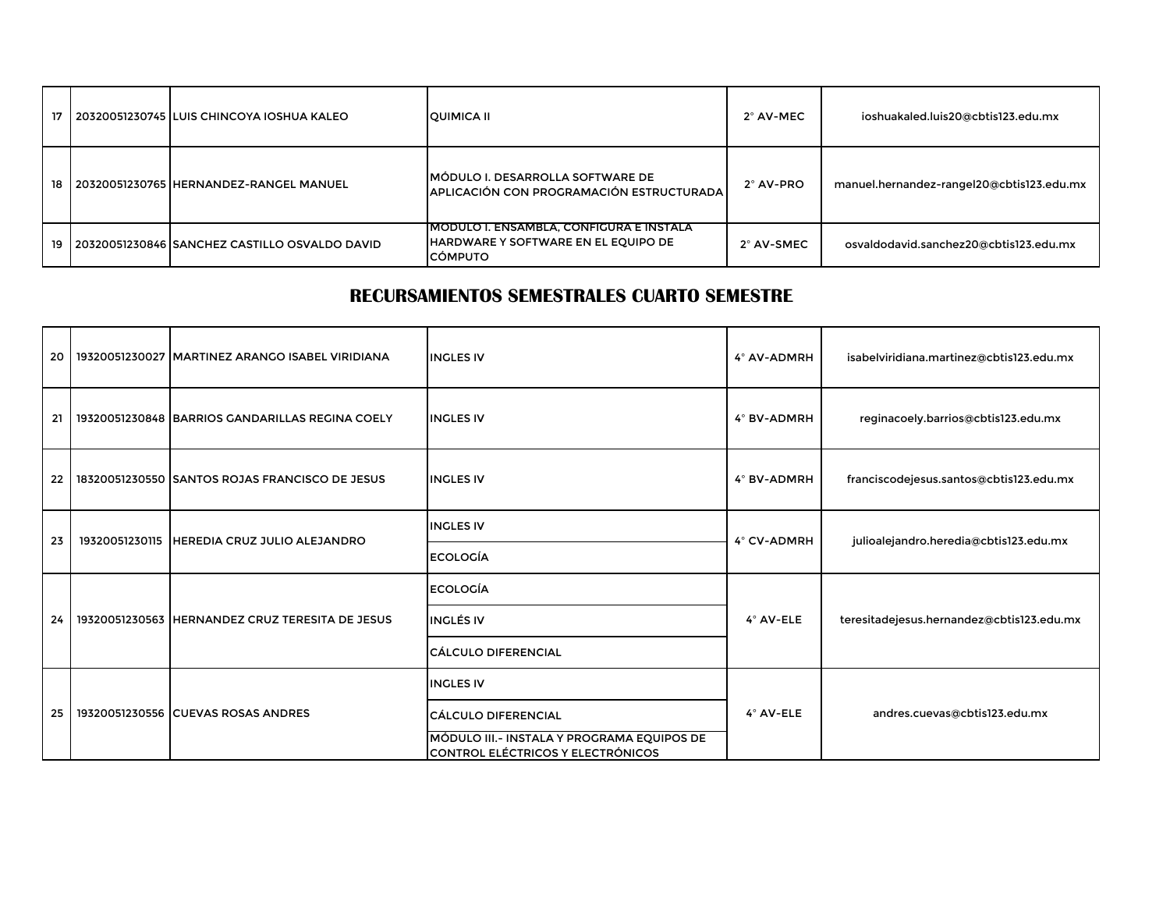| 17 I   | 20320051230745 ILUIS CHINCOYA IOSHUA KALEO    | <b>QUIMICA II</b>                                                                                        | 2° AV-MEC  | ioshuakaled.luis20@cbtis123.edu.mx        |
|--------|-----------------------------------------------|----------------------------------------------------------------------------------------------------------|------------|-------------------------------------------|
| $18-1$ | 20320051230765 HERNANDEZ-RANGEL MANUEL        | <b>IMÓDULO I. DESARROLLA SOFTWARE DE</b><br>APLICACIÓN CON PROGRAMACIÓN ESTRUCTURADA                     | 2° AV-PRO  | manuel.hernandez-rangel20@cbtis123.edu.mx |
| $19-1$ | 20320051230846 SANCHEZ CASTILLO OSVALDO DAVID | <u>IMODULO I. ENSAMBLA. CONFIGURA E INSTALA</u><br>HARDWARE Y SOFTWARE EN EL EQUIPO DE<br><b>CÓMPUTO</b> | 2° AV-SMEC | osvaldodavid.sanchez20@cbtis123.edu.mx    |

## **RECURSAMIENTOS SEMESTRALES CUARTO SEMESTRE**

| 20 | 19320051230027 MARTINEZ ARANGO ISABEL VIRIDIANA | <b>INGLES IV</b>                                                                | 4° AV-ADMRH | isabelviridiana.martinez@cbtis123.edu.mx  |
|----|-------------------------------------------------|---------------------------------------------------------------------------------|-------------|-------------------------------------------|
| 21 | 19320051230848 BARRIOS GANDARILLAS REGINA COELY | <b>INGLES IV</b>                                                                | 4° BV-ADMRH | reginacoely.barrios@cbtis123.edu.mx       |
| 22 | 18320051230550 SANTOS ROJAS FRANCISCO DE JESUS  | <b>INGLES IV</b>                                                                | 4° BV-ADMRH | franciscodejesus.santos@cbtis123.edu.mx   |
| 23 | 19320051230115 HEREDIA CRUZ JULIO ALEJANDRO     | <b>INGLES IV</b>                                                                | 4° CV-ADMRH | julioalejandro.heredia@cbtis123.edu.mx    |
|    |                                                 | <b>ECOLOGÍA</b>                                                                 |             |                                           |
|    | 19320051230563 HERNANDEZ CRUZ TERESITA DE JESUS | <b>ECOLOGÍA</b>                                                                 | 4° AV-ELE   | teresitadejesus.hernandez@cbtis123.edu.mx |
| 24 |                                                 | <b>INGLÉS IV</b>                                                                |             |                                           |
|    |                                                 | <b>CÁLCULO DIFERENCIAL</b>                                                      |             |                                           |
|    | 19320051230556 CUEVAS ROSAS ANDRES              | <b>INGLES IV</b>                                                                | 4° AV-ELE   | andres.cuevas@cbtis123.edu.mx             |
| 25 |                                                 | <b>CÁLCULO DIFERENCIAL</b>                                                      |             |                                           |
|    |                                                 | MÓDULO III.- INSTALA Y PROGRAMA EQUIPOS DE<br>CONTROL ELÉCTRICOS Y ELECTRÓNICOS |             |                                           |